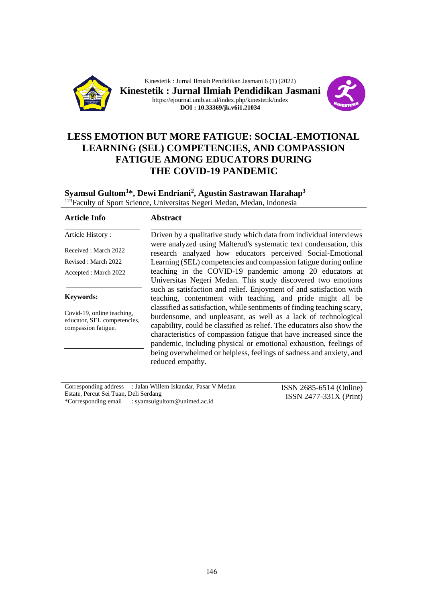

Kinestetik : Jurnal Ilmiah Pendidikan Jasmani 6 (1) (2022) **Kinestetik : Jurnal Ilmiah Pendidikan Jasmani** https://ejournal.unib.ac.id/index.php/kinestetik/index **DOI : 10.33369/jk.v6i1.21034**



# **LESS EMOTION BUT MORE FATIGUE: SOCIAL-EMOTIONAL LEARNING (SEL) COMPETENCIES, AND COMPASSION FATIGUE AMONG EDUCATORS DURING THE COVID-19 PANDEMIC**

#### **Syamsul Gultom<sup>1</sup> \*, Dewi Endriani<sup>2</sup> , Agustin Sastrawan Harahap<sup>3</sup>** <sup>123</sup>Faculty of Sport Science, Universitas Negeri Medan, Medan, Indonesia

| <b>Article Info</b>                                                              | <b>Abstract</b>                                                                                                                                                                                                                                                                                                                                                                 |
|----------------------------------------------------------------------------------|---------------------------------------------------------------------------------------------------------------------------------------------------------------------------------------------------------------------------------------------------------------------------------------------------------------------------------------------------------------------------------|
| Article History:                                                                 | Driven by a qualitative study which data from individual interviews                                                                                                                                                                                                                                                                                                             |
| Received: March 2022                                                             | were analyzed using Malterud's systematic text condensation, this<br>research analyzed how educators perceived Social-Emotional                                                                                                                                                                                                                                                 |
| Revised: March 2022                                                              | Learning (SEL) competencies and compassion fatigue during online                                                                                                                                                                                                                                                                                                                |
| Accepted : March 2022                                                            | teaching in the COVID-19 pandemic among 20 educators at<br>Universitas Negeri Medan. This study discovered two emotions<br>such as satisfaction and relief. Enjoyment of and satisfaction with                                                                                                                                                                                  |
| <b>Keywords:</b>                                                                 | teaching, contentment with teaching, and pride might all be<br>classified as satisfaction, while sentiments of finding teaching scary,                                                                                                                                                                                                                                          |
| Covid-19, online teaching,<br>educator, SEL competencies,<br>compassion fatigue. | burdensome, and unpleasant, as well as a lack of technological<br>capability, could be classified as relief. The educators also show the<br>characteristics of compassion fatigue that have increased since the<br>pandemic, including physical or emotional exhaustion, feelings of<br>being overwhelmed or helpless, feelings of sadness and anxiety, and<br>reduced empathy. |

| Corresponding address : Jalan Willem Iskandar, Pasar V Medan | ISSN 2685-6514 (Online)  |
|--------------------------------------------------------------|--------------------------|
| Estate, Percut Sei Tuan, Deli Serdang                        | $ISSN 2477-331X (Print)$ |
| *Corresponding email : syamsulgultom@unimed.ac.id            |                          |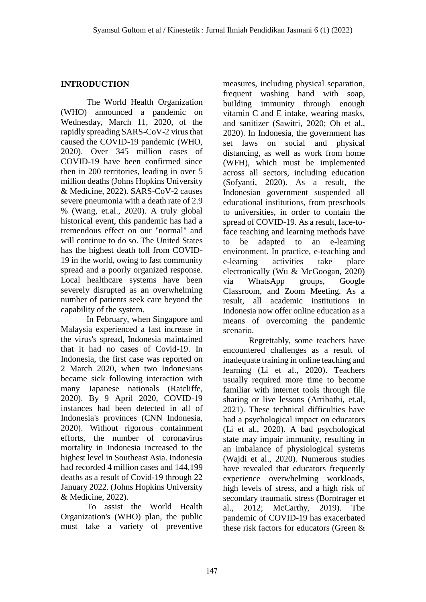# **INTRODUCTION**

The World Health Organization (WHO) announced a pandemic on Wednesday, March 11, 2020, of the rapidly spreading SARS-CoV-2 virus that caused the COVID-19 pandemic (WHO, 2020). Over 345 million cases of COVID-19 have been confirmed since then in 200 territories, leading in over 5 million deaths (Johns Hopkins University & Medicine, 2022). SARS-CoV-2 causes severe pneumonia with a death rate of 2.9 % (Wang, et.al., 2020). A truly global historical event, this pandemic has had a tremendous effect on our "normal" and will continue to do so. The United States has the highest death toll from COVID-19 in the world, owing to fast community spread and a poorly organized response. Local healthcare systems have been severely disrupted as an overwhelming number of patients seek care beyond the capability of the system.

In February, when Singapore and Malaysia experienced a fast increase in the virus's spread, Indonesia maintained that it had no cases of Covid-19. In Indonesia, the first case was reported on 2 March 2020, when two Indonesians became sick following interaction with many Japanese nationals (Ratcliffe, 2020). By 9 April 2020, COVID-19 instances had been detected in all of Indonesia's provinces (CNN Indonesia, 2020). Without rigorous containment efforts, the number of coronavirus mortality in Indonesia increased to the highest level in Southeast Asia. Indonesia had recorded 4 million cases and 144,199 deaths as a result of Covid-19 through 22 January 2022. (Johns Hopkins University & Medicine, 2022).

To assist the World Health Organization's (WHO) plan, the public must take a variety of preventive measures, including physical separation, frequent washing hand with soap, building immunity through enough vitamin C and E intake, wearing masks, and sanitizer (Sawitri, 2020; Oh et al., 2020). In Indonesia, the government has set laws on social and physical distancing, as well as work from home (WFH), which must be implemented across all sectors, including education (Sofyanti, 2020). As a result, the Indonesian government suspended all educational institutions, from preschools to universities, in order to contain the spread of COVID-19. As a result, face-toface teaching and learning methods have to be adapted to an e-learning environment. In practice, e-teaching and e-learning activities take place electronically (Wu & McGoogan, 2020) via WhatsApp groups, Google Classroom, and Zoom Meeting. As a result, all academic institutions in Indonesia now offer online education as a means of overcoming the pandemic scenario.

Regrettably, some teachers have encountered challenges as a result of inadequate training in online teaching and learning (Li et al., 2020). Teachers usually required more time to become familiar with internet tools through file sharing or live lessons (Arribathi, et.al, 2021). These technical difficulties have had a psychological impact on educators (Li et al., 2020). A bad psychological state may impair immunity, resulting in an imbalance of physiological systems (Wajdi et al., 2020). Numerous studies have revealed that educators frequently experience overwhelming workloads, high levels of stress, and a high risk of secondary traumatic stress (Borntrager et al., 2012; McCarthy, 2019). The pandemic of COVID-19 has exacerbated these risk factors for educators (Green &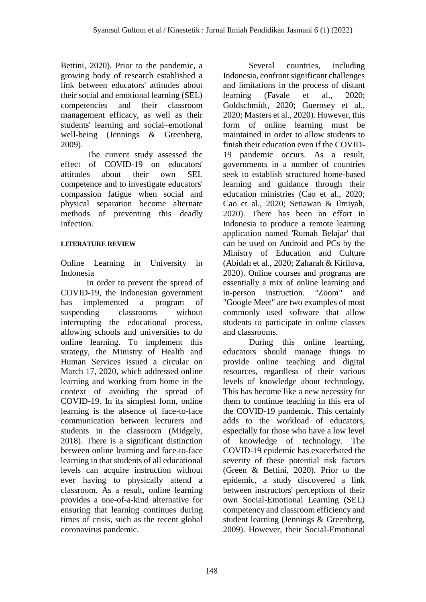Bettini, 2020). Prior to the pandemic, a growing body of research established a link between educators' attitudes about their social and emotional learning (SEL) competencies and their classroom management efficacy, as well as their students' learning and social–emotional well-being (Jennings & Greenberg, 2009).

The current study assessed the effect of COVID-19 on educators' attitudes about their own SEL competence and to investigate educators' compassion fatigue when social and physical separation become alternate methods of preventing this deadly infection.

#### **LITERATURE REVIEW**

Online Learning in University in Indonesia

In order to prevent the spread of COVID-19, the Indonesian government has implemented a program of suspending classrooms without interrupting the educational process, allowing schools and universities to do online learning. To implement this strategy, the Ministry of Health and Human Services issued a circular on March 17, 2020, which addressed online learning and working from home in the context of avoiding the spread of COVID-19. In its simplest form, online learning is the absence of face-to-face communication between lecturers and students in the classroom (Midgely, 2018). There is a significant distinction between online learning and face-to-face learning in that students of all educational levels can acquire instruction without ever having to physically attend a classroom. As a result, online learning provides a one-of-a-kind alternative for ensuring that learning continues during times of crisis, such as the recent global coronavirus pandemic.

Several countries, including Indonesia, confront significant challenges and limitations in the process of distant learning (Favale et al., 2020; Goldschmidt, 2020; Guernsey et al., 2020; Masters et al., 2020). However, this form of online learning must be maintained in order to allow students to finish their education even if the COVID-19 pandemic occurs. As a result, governments in a number of countries seek to establish structured home-based learning and guidance through their education ministries (Cao et al., 2020; Cao et al., 2020; Setiawan & Ilmiyah, 2020). There has been an effort in Indonesia to produce a remote learning application named 'Rumah Belajar' that can be used on Android and PCs by the Ministry of Education and Culture (Abidah et al., 2020; Zaharah & Kirilova, 2020). Online courses and programs are essentially a mix of online learning and in-person instruction. "Zoom" and "Google Meet" are two examples of most commonly used software that allow students to participate in online classes and classrooms.

During this online learning, educators should manage things to provide online teaching and digital resources, regardless of their various levels of knowledge about technology. This has become like a new necessity for them to continue teaching in this era of the COVID-19 pandemic. This certainly adds to the workload of educators, especially for those who have a low level of knowledge of technology. The COVID-19 epidemic has exacerbated the severity of these potential risk factors (Green & Bettini, 2020). Prior to the epidemic, a study discovered a link between instructors' perceptions of their own Social-Emotional Learning (SEL) competency and classroom efficiency and student learning (Jennings & Greenberg, 2009). However, their Social-Emotional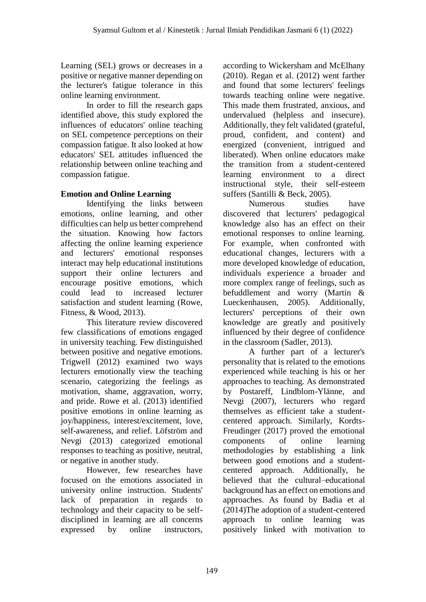Learning (SEL) grows or decreases in a positive or negative manner depending on the lecturer's fatigue tolerance in this online learning environment.

In order to fill the research gaps identified above, this study explored the influences of educators' online teaching on SEL competence perceptions on their compassion fatigue. It also looked at how educators' SEL attitudes influenced the relationship between online teaching and compassion fatigue.

# **Emotion and Online Learning**

Identifying the links between emotions, online learning, and other difficulties can help us better comprehend the situation. Knowing how factors affecting the online learning experience and lecturers' emotional responses interact may help educational institutions support their online lecturers and encourage positive emotions, which could lead to increased lecturer satisfaction and student learning (Rowe, Fitness, & Wood, 2013).

This literature review discovered few classifications of emotions engaged in university teaching. Few distinguished between positive and negative emotions. Trigwell (2012) examined two ways lecturers emotionally view the teaching scenario, categorizing the feelings as motivation, shame, aggravation, worry, and pride. Rowe et al. (2013) identified positive emotions in online learning as joy/happiness, interest/excitement, love, self-awareness, and relief. Löfström and Nevgi (2013) categorized emotional responses to teaching as positive, neutral, or negative in another study.

However, few researches have focused on the emotions associated in university online instruction. Students' lack of preparation in regards to technology and their capacity to be selfdisciplined in learning are all concerns expressed by online instructors, according to Wickersham and McElhany (2010). Regan et al. (2012) went farther and found that some lecturers' feelings towards teaching online were negative. This made them frustrated, anxious, and undervalued (helpless and insecure). Additionally, they felt validated (grateful, proud, confident, and content) and energized (convenient, intrigued and liberated). When online educators make the transition from a student-centered learning environment to a direct instructional style, their self-esteem suffers (Santilli & Beck, 2005).

Numerous studies have discovered that lecturers' pedagogical knowledge also has an effect on their emotional responses to online learning. For example, when confronted with educational changes, lecturers with a more developed knowledge of education, individuals experience a broader and more complex range of feelings, such as befuddlement and worry (Martin & Lueckenhausen, 2005). Additionally, lecturers' perceptions of their own knowledge are greatly and positively influenced by their degree of confidence in the classroom (Sadler, 2013).

A further part of a lecturer's personality that is related to the emotions experienced while teaching is his or her approaches to teaching. As demonstrated by Postareff, Lindblom-Ylänne, and Nevgi (2007), lecturers who regard themselves as efficient take a studentcentered approach. Similarly, Kordts-Freudinger (2017) proved the emotional components of online learning methodologies by establishing a link between good emotions and a studentcentered approach. Additionally, he believed that the cultural–educational background has an effect on emotions and approaches. As found by Badia et al (2014)The adoption of a student-centered approach to online learning was positively linked with motivation to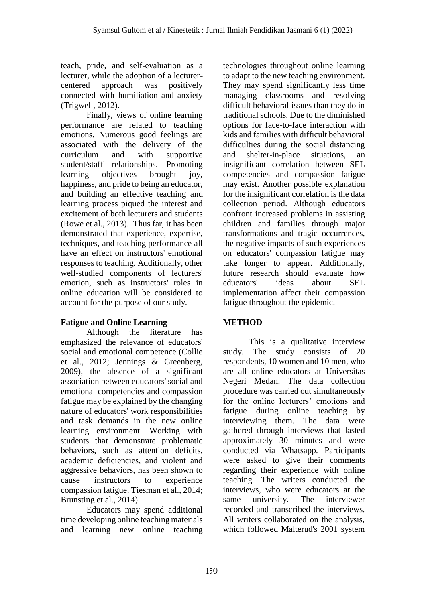teach, pride, and self-evaluation as a lecturer, while the adoption of a lecturercentered approach was positively connected with humiliation and anxiety (Trigwell, 2012).

Finally, views of online learning performance are related to teaching emotions. Numerous good feelings are associated with the delivery of the curriculum and with supportive student/staff relationships. Promoting learning objectives brought joy, happiness, and pride to being an educator, and building an effective teaching and learning process piqued the interest and excitement of both lecturers and students (Rowe et al., 2013). Thus far, it has been demonstrated that experience, expertise, techniques, and teaching performance all have an effect on instructors' emotional responses to teaching. Additionally, other well-studied components of lecturers' emotion, such as instructors' roles in online education will be considered to account for the purpose of our study.

# **Fatigue and Online Learning**

Although the literature has emphasized the relevance of educators' social and emotional competence (Collie et al., 2012; Jennings & Greenberg, 2009), the absence of a significant association between educators' social and emotional competencies and compassion fatigue may be explained by the changing nature of educators' work responsibilities and task demands in the new online learning environment. Working with students that demonstrate problematic behaviors, such as attention deficits, academic deficiencies, and violent and aggressive behaviors, has been shown to cause instructors to experience compassion fatigue. Tiesman et al., 2014; Brunsting et al., 2014)..

Educators may spend additional time developing online teaching materials and learning new online teaching technologies throughout online learning to adapt to the new teaching environment. They may spend significantly less time managing classrooms and resolving difficult behavioral issues than they do in traditional schools. Due to the diminished options for face-to-face interaction with kids and families with difficult behavioral difficulties during the social distancing and shelter-in-place situations, an insignificant correlation between SEL competencies and compassion fatigue may exist. Another possible explanation for the insignificant correlation is the data collection period. Although educators confront increased problems in assisting children and families through major transformations and tragic occurrences, the negative impacts of such experiences on educators' compassion fatigue may take longer to appear. Additionally, future research should evaluate how educators' ideas about SEL implementation affect their compassion fatigue throughout the epidemic.

# **METHOD**

This is a qualitative interview study. The study consists of 20 respondents, 10 women and 10 men, who are all online educators at Universitas Negeri Medan. The data collection procedure was carried out simultaneously for the online lecturers' emotions and fatigue during online teaching by interviewing them. The data were gathered through interviews that lasted approximately 30 minutes and were conducted via Whatsapp. Participants were asked to give their comments regarding their experience with online teaching. The writers conducted the interviews, who were educators at the same university. The interviewer recorded and transcribed the interviews. All writers collaborated on the analysis, which followed Malterud's 2001 system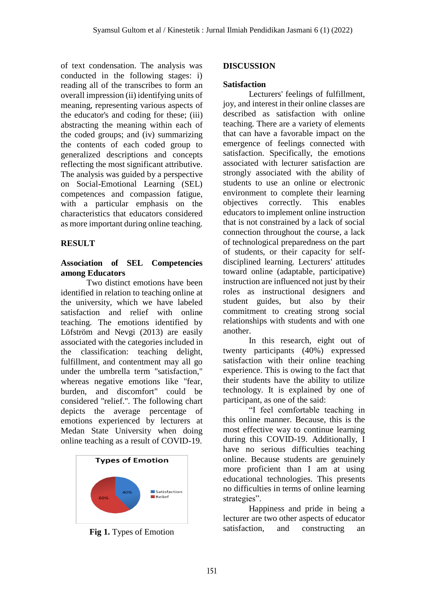of text condensation. The analysis was conducted in the following stages: i) reading all of the transcribes to form an overall impression (ii) identifying units of meaning, representing various aspects of the educator's and coding for these; (iii) abstracting the meaning within each of the coded groups; and (iv) summarizing the contents of each coded group to generalized descriptions and concepts reflecting the most significant attributive. The analysis was guided by a perspective on Social-Emotional Learning (SEL) competences and compassion fatigue, with a particular emphasis on the characteristics that educators considered as more important during online teaching.

# **RESULT**

#### **Association of SEL Competencies among Educators**

Two distinct emotions have been identified in relation to teaching online at the university, which we have labeled satisfaction and relief with online teaching. The emotions identified by Löfström and Nevgi (2013) are easily associated with the categories included in the classification: teaching delight, fulfillment, and contentment may all go under the umbrella term "satisfaction," whereas negative emotions like "fear, burden, and discomfort" could be considered "relief.". The following chart depicts the average percentage of emotions experienced by lecturers at Medan State University when doing online teaching as a result of COVID-19.



**Fig 1.** Types of Emotion

# **DISCUSSION**

#### **Satisfaction**

Lecturers' feelings of fulfillment, joy, and interest in their online classes are described as satisfaction with online teaching. There are a variety of elements that can have a favorable impact on the emergence of feelings connected with satisfaction. Specifically, the emotions associated with lecturer satisfaction are strongly associated with the ability of students to use an online or electronic environment to complete their learning objectives correctly. This enables educators to implement online instruction that is not constrained by a lack of social connection throughout the course, a lack of technological preparedness on the part of students, or their capacity for selfdisciplined learning. Lecturers' attitudes toward online (adaptable, participative) instruction are influenced not just by their roles as instructional designers and student guides, but also by their commitment to creating strong social relationships with students and with one another.

In this research, eight out of twenty participants (40%) expressed satisfaction with their online teaching experience. This is owing to the fact that their students have the ability to utilize technology. It is explained by one of participant, as one of the said:

"I feel comfortable teaching in this online manner. Because, this is the most effective way to continue learning during this COVID-19. Additionally, I have no serious difficulties teaching online. Because students are genuinely more proficient than I am at using educational technologies. This presents no difficulties in terms of online learning strategies".

Happiness and pride in being a lecturer are two other aspects of educator satisfaction, and constructing an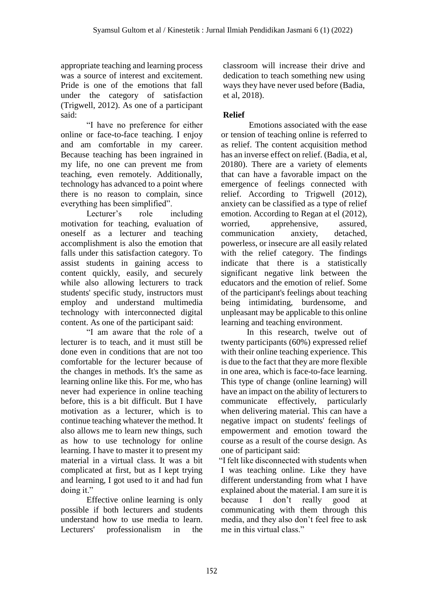appropriate teaching and learning process was a source of interest and excitement. Pride is one of the emotions that fall under the category of satisfaction (Trigwell, 2012). As one of a participant said:

"I have no preference for either online or face-to-face teaching. I enjoy and am comfortable in my career. Because teaching has been ingrained in my life, no one can prevent me from teaching, even remotely. Additionally, technology has advanced to a point where there is no reason to complain, since everything has been simplified".

Lecturer's role including motivation for teaching, evaluation of oneself as a lecturer and teaching accomplishment is also the emotion that falls under this satisfaction category. To assist students in gaining access to content quickly, easily, and securely while also allowing lecturers to track students' specific study, instructors must employ and understand multimedia technology with interconnected digital content. As one of the participant said:

"I am aware that the role of a lecturer is to teach, and it must still be done even in conditions that are not too comfortable for the lecturer because of the changes in methods. It's the same as learning online like this. For me, who has never had experience in online teaching before, this is a bit difficult. But I have motivation as a lecturer, which is to continue teaching whatever the method. It also allows me to learn new things, such as how to use technology for online learning. I have to master it to present my material in a virtual class. It was a bit complicated at first, but as I kept trying and learning, I got used to it and had fun doing it."

Effective online learning is only possible if both lecturers and students understand how to use media to learn. Lecturers' professionalism in the classroom will increase their drive and dedication to teach something new using ways they have never used before (Badia, et al, 2018).

# **Relief**

Emotions associated with the ease or tension of teaching online is referred to as relief. The content acquisition method has an inverse effect on relief. (Badia, et al, 20180). There are a variety of elements that can have a favorable impact on the emergence of feelings connected with relief. According to Trigwell (2012), anxiety can be classified as a type of relief emotion. According to Regan at el (2012), worried, apprehensive, assured, communication anxiety, detached, powerless, or insecure are all easily related with the relief category. The findings indicate that there is a statistically significant negative link between the educators and the emotion of relief. Some of the participant's feelings about teaching being intimidating, burdensome, and unpleasant may be applicable to this online learning and teaching environment.

In this research, twelve out of twenty participants (60%) expressed relief with their online teaching experience. This is due to the fact that they are more flexible in one area, which is face-to-face learning. This type of change (online learning) will have an impact on the ability of lecturers to communicate effectively, particularly when delivering material. This can have a negative impact on students' feelings of empowerment and emotion toward the course as a result of the course design. As one of participant said:

"I felt like disconnected with students when I was teaching online. Like they have different understanding from what I have explained about the material. I am sure it is because I don't really good at communicating with them through this media, and they also don't feel free to ask me in this virtual class."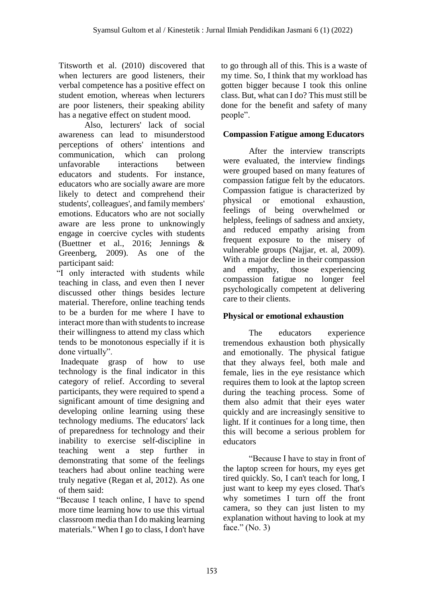Titsworth et al. (2010) discovered that when lecturers are good listeners, their verbal competence has a positive effect on student emotion, whereas when lecturers are poor listeners, their speaking ability has a negative effect on student mood.

Also, lecturers' lack of social awareness can lead to misunderstood perceptions of others' intentions and communication, which can prolong unfavorable interactions between educators and students. For instance, educators who are socially aware are more likely to detect and comprehend their students', colleagues', and family members' emotions. Educators who are not socially aware are less prone to unknowingly engage in coercive cycles with students (Buettner et al., 2016; Jennings & Greenberg, 2009). As one of the participant said:

"I only interacted with students while teaching in class, and even then I never discussed other things besides lecture material. Therefore, online teaching tends to be a burden for me where I have to interact more than with students to increase their willingness to attend my class which tends to be monotonous especially if it is done virtually".

Inadequate grasp of how to use technology is the final indicator in this category of relief. According to several participants, they were required to spend a significant amount of time designing and developing online learning using these technology mediums. The educators' lack of preparedness for technology and their inability to exercise self-discipline in teaching went a step further in demonstrating that some of the feelings teachers had about online teaching were truly negative (Regan et al, 2012). As one of them said:

"Because I teach online, I have to spend more time learning how to use this virtual classroom media than I do making learning materials." When I go to class, I don't have to go through all of this. This is a waste of my time. So, I think that my workload has gotten bigger because I took this online class. But, what can I do? This must still be done for the benefit and safety of many people".

# **Compassion Fatigue among Educators**

After the interview transcripts were evaluated, the interview findings were grouped based on many features of compassion fatigue felt by the educators. Compassion fatigue is characterized by physical or emotional exhaustion, feelings of being overwhelmed or helpless, feelings of sadness and anxiety, and reduced empathy arising from frequent exposure to the misery of vulnerable groups (Najjar, et. al, 2009). With a major decline in their compassion and empathy, those experiencing compassion fatigue no longer feel psychologically competent at delivering care to their clients.

# **Physical or emotional exhaustion**

The educators experience tremendous exhaustion both physically and emotionally. The physical fatigue that they always feel, both male and female, lies in the eye resistance which requires them to look at the laptop screen during the teaching process. Some of them also admit that their eyes water quickly and are increasingly sensitive to light. If it continues for a long time, then this will become a serious problem for educators

"Because I have to stay in front of the laptop screen for hours, my eyes get tired quickly. So, I can't teach for long, I just want to keep my eyes closed. That's why sometimes I turn off the front camera, so they can just listen to my explanation without having to look at my face." (No. 3)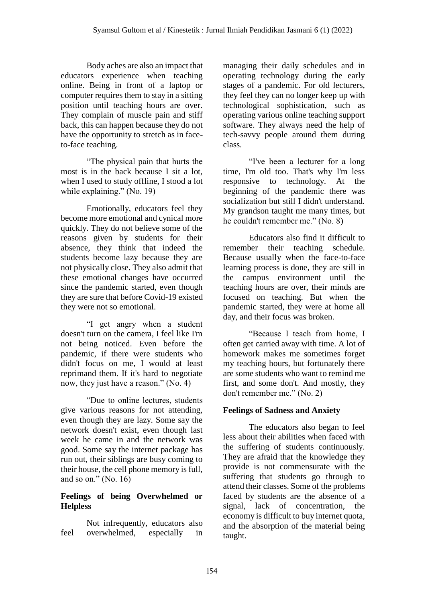Body aches are also an impact that educators experience when teaching online. Being in front of a laptop or computer requires them to stay in a sitting position until teaching hours are over. They complain of muscle pain and stiff back, this can happen because they do not have the opportunity to stretch as in faceto-face teaching.

"The physical pain that hurts the most is in the back because I sit a lot, when I used to study offline, I stood a lot while explaining." (No. 19)

Emotionally, educators feel they become more emotional and cynical more quickly. They do not believe some of the reasons given by students for their absence, they think that indeed the students become lazy because they are not physically close. They also admit that these emotional changes have occurred since the pandemic started, even though they are sure that before Covid-19 existed they were not so emotional.

"I get angry when a student doesn't turn on the camera, I feel like I'm not being noticed. Even before the pandemic, if there were students who didn't focus on me, I would at least reprimand them. If it's hard to negotiate now, they just have a reason." (No. 4)

"Due to online lectures, students give various reasons for not attending, even though they are lazy. Some say the network doesn't exist, even though last week he came in and the network was good. Some say the internet package has run out, their siblings are busy coming to their house, the cell phone memory is full, and so on." (No. 16)

# **Feelings of being Overwhelmed or Helpless**

Not infrequently, educators also feel overwhelmed, especially in managing their daily schedules and in operating technology during the early stages of a pandemic. For old lecturers, they feel they can no longer keep up with technological sophistication, such as operating various online teaching support software. They always need the help of tech-savvy people around them during class.

"I've been a lecturer for a long time, I'm old too. That's why I'm less responsive to technology. At the beginning of the pandemic there was socialization but still I didn't understand. My grandson taught me many times, but he couldn't remember me." (No. 8)

Educators also find it difficult to remember their teaching schedule. Because usually when the face-to-face learning process is done, they are still in the campus environment until the teaching hours are over, their minds are focused on teaching. But when the pandemic started, they were at home all day, and their focus was broken.

"Because I teach from home, I often get carried away with time. A lot of homework makes me sometimes forget my teaching hours, but fortunately there are some students who want to remind me first, and some don't. And mostly, they don't remember me." (No. 2)

# **Feelings of Sadness and Anxiety**

The educators also began to feel less about their abilities when faced with the suffering of students continuously. They are afraid that the knowledge they provide is not commensurate with the suffering that students go through to attend their classes. Some of the problems faced by students are the absence of a signal, lack of concentration, the economy is difficult to buy internet quota, and the absorption of the material being taught.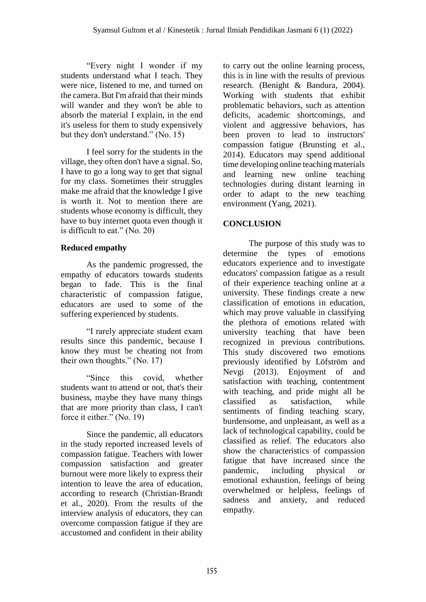"Every night I wonder if my students understand what I teach. They were nice, listened to me, and turned on the camera. But I'm afraid that their minds will wander and they won't be able to absorb the material I explain, in the end it's useless for them to study expensively but they don't understand." (No. 15)

I feel sorry for the students in the village, they often don't have a signal. So, I have to go a long way to get that signal for my class. Sometimes their struggles make me afraid that the knowledge I give is worth it. Not to mention there are students whose economy is difficult, they have to buy internet quota even though it is difficult to eat." (No. 20)

#### **Reduced empathy**

As the pandemic progressed, the empathy of educators towards students began to fade. This is the final characteristic of compassion fatigue, educators are used to some of the suffering experienced by students.

"I rarely appreciate student exam results since this pandemic, because I know they must be cheating not from their own thoughts." (No. 17)

"Since this covid, whether students want to attend or not, that's their business, maybe they have many things that are more priority than class, I can't force it either." (No. 19)

Since the pandemic, all educators in the study reported increased levels of compassion fatigue. Teachers with lower compassion satisfaction and greater burnout were more likely to express their intention to leave the area of education, according to research (Christian-Brandt et al., 2020). From the results of the interview analysis of educators, they can overcome compassion fatigue if they are accustomed and confident in their ability

to carry out the online learning process, this is in line with the results of previous research. (Benight & Bandura, 2004). Working with students that exhibit problematic behaviors, such as attention deficits, academic shortcomings, and violent and aggressive behaviors, has been proven to lead to instructors' compassion fatigue (Brunsting et al., 2014). Educators may spend additional time developing online teaching materials and learning new online teaching technologies during distant learning in order to adapt to the new teaching environment (Yang, 2021).

# **CONCLUSION**

The purpose of this study was to determine the types of emotions educators experience and to investigate educators' compassion fatigue as a result of their experience teaching online at a university. These findings create a new classification of emotions in education, which may prove valuable in classifying the plethora of emotions related with university teaching that have been recognized in previous contributions. This study discovered two emotions previously identified by Löfström and Nevgi (2013). Enjoyment of and satisfaction with teaching, contentment with teaching, and pride might all be classified as satisfaction, while sentiments of finding teaching scary, burdensome, and unpleasant, as well as a lack of technological capability, could be classified as relief. The educators also show the characteristics of compassion fatigue that have increased since the pandemic, including physical or emotional exhaustion, feelings of being overwhelmed or helpless, feelings of sadness and anxiety, and reduced empathy.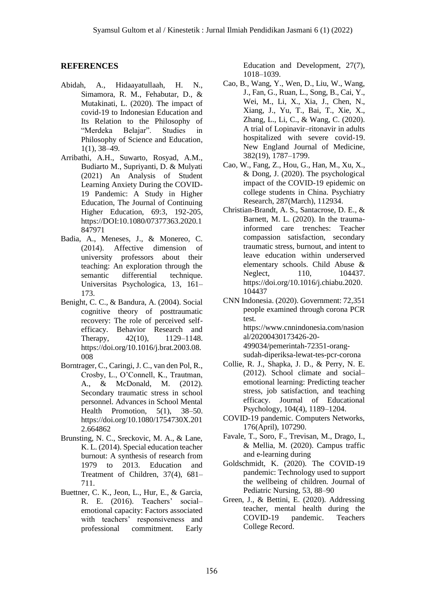#### **REFERENCES**

- Abidah, A., Hidaayatullaah, H. N., Simamora, R. M., Fehabutar, D., & Mutakinati, L. (2020). The impact of covid-19 to Indonesian Education and Its Relation to the Philosophy of "Merdeka Belajar". Studies in Philosophy of Science and Education, 1(1), 38–49.
- Arribathi, A.H., Suwarto, Rosyad, A.M., Budiarto M., Supriyanti, D. & Mulyati (2021) An Analysis of Student Learning Anxiety During the COVID-19 Pandemic: A Study in Higher Education, The Journal of Continuing Higher Education, 69:3, 192-205, https://DOI:10.1080/07377363.2020.1 847971
- Badia, A., Meneses, J., & Monereo, C. (2014). Affective dimension of university professors about their teaching: An exploration through the semantic differential technique. Universitas Psychologica, 13, 161– 173.
- Benight, C. C., & Bandura, A. (2004). Social cognitive theory of posttraumatic recovery: The role of perceived selfefficacy. Behavior Research and Therapy, 42(10), 1129–1148. https://doi.org/10.1016/j.brat.2003.08. 008
- Borntrager, C., Caringi, J. C., van den Pol, R., Crosby, L., O'Connell, K., Trautman, A., & McDonald, M. (2012). Secondary traumatic stress in school personnel. Advances in School Mental Health Promotion, 5(1), 38–50. https://doi.org/10.1080/1754730X.201 2.664862
- Brunsting, N. C., Sreckovic, M. A., & Lane, K. L. (2014). Special education teacher burnout: A synthesis of research from 1979 to 2013. Education and Treatment of Children, 37(4), 681– 711.
- Buettner, C. K., Jeon, L., Hur, E., & Garcia, R. E. (2016). Teachers' social– emotional capacity: Factors associated with teachers' responsiveness and professional commitment. Early

Education and Development, 27(7), 1018–1039.

- Cao, B., Wang, Y., Wen, D., Liu, W., Wang, J., Fan, G., Ruan, L., Song, B., Cai, Y., Wei, M., Li, X., Xia, J., Chen, N., Xiang, J., Yu, T., Bai, T., Xie, X., Zhang, L., Li, C., & Wang, C. (2020). A trial of Lopinavir–ritonavir in adults hospitalized with severe covid-19. New England Journal of Medicine, 382(19), 1787–1799.
- Cao, W., Fang, Z., Hou, G., Han, M., Xu, X., & Dong, J. (2020). The psychological impact of the COVID-19 epidemic on college students in China. Psychiatry Research, 287(March), 112934.
- Christian-Brandt, A. S., Santacrose, D. E., & Barnett, M. L. (2020). In the traumainformed care trenches: Teacher compassion satisfaction, secondary traumatic stress, burnout, and intent to leave education within underserved elementary schools. Child Abuse & Neglect. 110, 104437. https://doi.org/10.1016/j.chiabu.2020. 104437
- CNN Indonesia. (2020). Government: 72,351 people examined through corona PCR test. https://www.cnnindonesia.com/nasion al/20200430173426-20- 499034/pemerintah-72351-orangsudah-diperiksa-lewat-tes-pcr-corona
- Collie, R. J., Shapka, J. D., & Perry, N. E. (2012). School climate and social– emotional learning: Predicting teacher stress, job satisfaction, and teaching efficacy. Journal of Educational Psychology, 104(4), 1189–1204.
- COVID-19 pandemic. Computers Networks, 176(April), 107290.
- Favale, T., Soro, F., Trevisan, M., Drago, I., & Mellia, M. (2020). Campus traffic and e-learning during
- Goldschmidt, K. (2020). The COVID-19 pandemic: Technology used to support the wellbeing of children. Journal of Pediatric Nursing, 53, 88–90
- Green, J., & Bettini, E. (2020). Addressing teacher, mental health during the COVID-19 pandemic. Teachers College Record.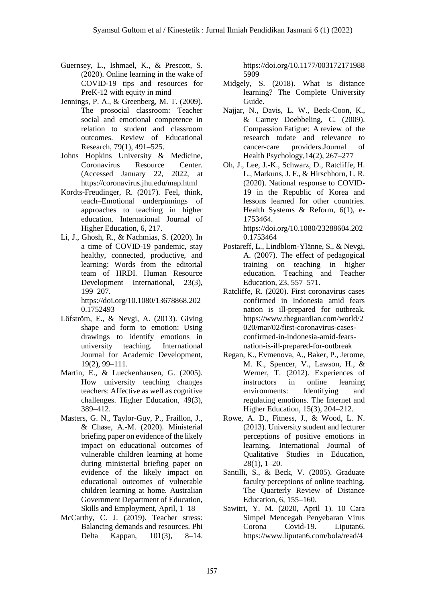- Guernsey, L., Ishmael, K., & Prescott, S. (2020). Online learning in the wake of COVID-19 tips and resources for PreK-12 with equity in mind
- Jennings, P. A., & Greenberg, M. T. (2009). The prosocial classroom: Teacher social and emotional competence in relation to student and classroom outcomes. Review of Educational Research, 79(1), 491–525.
- Johns Hopkins University & Medicine, Coronavirus Resource Center. (Accessed January 22, 2022, at https://coronavirus.jhu.edu/map.html
- Kordts-Freudinger, R. (2017). Feel, think, teach–Emotional underpinnings of approaches to teaching in higher education. International Journal of Higher Education, 6, 217.
- Li, J., Ghosh, R., & Nachmias, S. (2020). In a time of COVID-19 pandemic, stay healthy, connected, productive, and learning: Words from the editorial team of HRDI. Human Resource Development International, 23(3), 199–207.

https://doi.org/10.1080/13678868.202 0.1752493

- Löfström, E., & Nevgi, A. (2013). Giving shape and form to emotion: Using drawings to identify emotions in university teaching. International Journal for Academic Development, 19(2), 99–111.
- Martin, E., & Lueckenhausen, G. (2005). How university teaching changes teachers: Affective as well as cognitive challenges. Higher Education, 49(3), 389–412.
- Masters, G. N., Taylor-Guy, P., Fraillon, J., & Chase, A.-M. (2020). Ministerial briefing paper on evidence of the likely impact on educational outcomes of vulnerable children learning at home during ministerial briefing paper on evidence of the likely impact on educational outcomes of vulnerable children learning at home. Australian Government Department of Education, Skills and Employment, April, 1–18
- McCarthy, C. J. (2019). Teacher stress: Balancing demands and resources. Phi Delta Kappan, 101(3), 8–14.

https://doi.org/10.1177/003172171988 5909

- Midgely, S. (2018). What is distance learning? The Complete University Guide.
- Najjar, N., Davis, L. W., Beck-Coon, K., & Carney Doebbeling, C. (2009). Compassion Fatigue: A review of the research todate and relevance to cancer-care providers.Journal of Health Psychology,14(2), 267–277
- Oh, J., Lee, J.-K., Schwarz, D., Ratcliffe, H. L., Markuns, J. F., & Hirschhorn, L. R. (2020). National response to COVID-19 in the Republic of Korea and lessons learned for other countries. Health Systems & Reform, 6(1), e-1753464. https://doi.org/10.1080/23288604.202
- 0.1753464 Postareff, L., Lindblom-Ylänne, S., & Nevgi, A. (2007). The effect of pedagogical training on teaching in higher education. Teaching and Teacher Education, 23, 557–571.
- Ratcliffe, R. (2020). First coronavirus cases confirmed in Indonesia amid fears nation is ill-prepared for outbreak. https://www.theguardian.com/world/2 020/mar/02/first-coronavirus-casesconfirmed-in-indonesia-amid-fearsnation-is-ill-prepared-for-outbreak
- Regan, K., Evmenova, A., Baker, P., Jerome, M. K., Spencer, V., Lawson, H., & Werner, T. (2012). Experiences of instructors in online learning environments: Identifying and regulating emotions. The Internet and Higher Education, 15(3), 204–212.
- Rowe, A. D., Fitness, J., & Wood, L. N. (2013). University student and lecturer perceptions of positive emotions in learning. International Journal of Qualitative Studies in Education, 28(1), 1–20.
- Santilli, S., & Beck, V. (2005). Graduate faculty perceptions of online teaching. The Quarterly Review of Distance Education, 6, 155–160.
- Sawitri, Y. M. (2020, April 1). 10 Cara Simpel Mencegah Penyebaran Virus Corona Covid-19. Liputan6. https://www.liputan6.com/bola/read/4